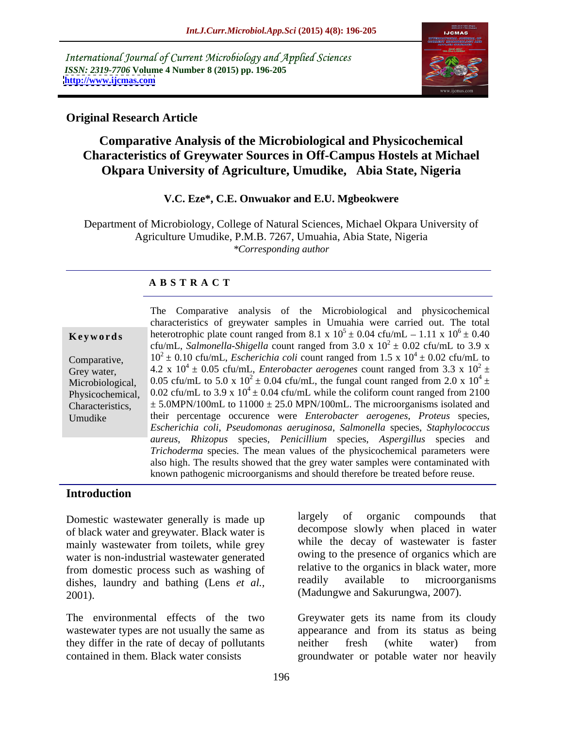International Journal of Current Microbiology and Applied Sciences *ISSN: 2319-7706* **Volume 4 Number 8 (2015) pp. 196-205 <http://www.ijcmas.com>**



## **Original Research Article**

# **Comparative Analysis of the Microbiological and Physicochemical Characteristics of Greywater Sources in Off-Campus Hostels at Michael Okpara University of Agriculture, Umudike, Abia State, Nigeria**

## **V.C. Eze\*, C.E. Onwuakor and E.U. Mgbeokwere**

Department of Microbiology, College of Natural Sciences, Michael Okpara University of Agriculture Umudike, P.M.B. 7267, Umuahia, Abia State, Nigeria *\*Corresponding author*

## **A B S T R A C T**

|                  | The Comparative analysis of the Microbiological and physicochemical                                                      |
|------------------|--------------------------------------------------------------------------------------------------------------------------|
|                  | characteristics of greywater samples in Umuahia were carried out. The total                                              |
| Keywords         | heterotrophic plate count ranged from 8.1 x $10^5 \pm 0.04$ cfu/mL – 1.11 x $10^6 \pm 0.40$                              |
|                  | cfu/mL, Salmonella-Shigella count ranged from 3.0 x $10^2 \pm 0.02$ cfu/mL to 3.9 x                                      |
| Comparative,     | $10^2 \pm 0.10$ cfu/mL, <i>Escherichia coli</i> count ranged from 1.5 x $10^4 \pm 0.02$ cfu/mL to                        |
| Grey water,      | 4.2 x 10 <sup>4</sup> ± 0.05 cfu/mL, <i>Enterobacter aerogenes</i> count ranged from 3.3 x 10 <sup>2</sup> ±             |
| Microbiological, | 0.05 cfu/mL to 5.0 x $10^2 \pm 0.04$ cfu/mL, the fungal count ranged from 2.0 x $10^4 \pm 0.05$                          |
|                  | Physicochemical, $0.02 \text{ cfu/mL}$ to 3.9 x $10^4 \pm 0.04 \text{ cfu/mL}$ while the coliform count ranged from 2100 |
| Characteristics, | $\pm$ 5.0MPN/100mL to 11000 $\pm$ 25.0 MPN/100mL. The microorganisms isolated and                                        |
| Umudike          | their percentage occurence were <i>Enterobacter aerogenes</i> , <i>Proteus</i> species,                                  |
|                  | Escherichia coli, Pseudomonas aeruginosa, Salmonella species, Staphylococcus                                             |
|                  | aureus, Rhizopus species, Penicillium species, Aspergillus species and                                                   |
|                  | Trichoderma species. The mean values of the physicochemical parameters were                                              |
|                  | also high. The results showed that the grey water samples were contaminated with                                         |
|                  | known pathogenic microorganisms and should therefore be treated before reuse.                                            |

### **Introduction**

of black water and greywater. Black water is mainly wastewater from toilets, while grey water is non-industrial wastewater generated from domestic process such as washing of the organics in black water, more<br>dishes laundry and bathing (Lens et al. and the readily available to microorganisms) dishes, laundry and bathing (Lens *et al.,* 2001). (Madungwe and Sakurungwa, 2007).

wastewater types are not usually the same as they differ in the rate of decay of pollutants contained in them. Black water consists groundwater or potable water nor heavily

Domestic wastewater generally is made up largely of organic compounds that largely of organic compounds that decompose slowly when placed in water while the decay of wastewater is faster owing to the presence of organics which are relative to the organics in black water, more readily available to microorganisms

The environmental effects of the two Greywater gets its name from its cloudy appearance and from its status as being neither fresh (white water) from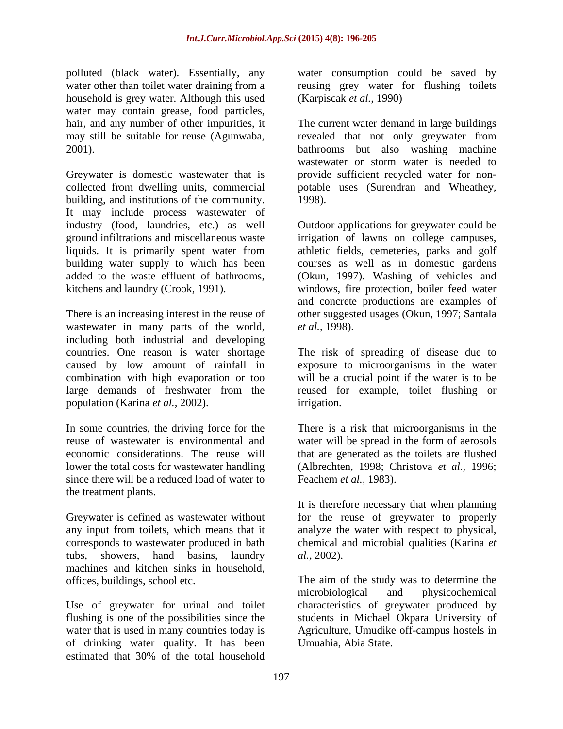polluted (black water). Essentially, any household is grey water. Although this used water may contain grease, food particles, hair, and any number of other impurities, it

Greywater is domestic wastewater that is collected from dwelling units, commercial potable uses (Surendran and Wheathey, building, and institutions of the community. 1998). It may include process wastewater of industry (food, laundries, etc.) as well Outdoor applications for greywater could be ground infiltrations and miscellaneous waste irrigation of lawns on college campuses, liquids. It is primarily spent water from athletic fields, cemeteries, parks and golf liquids. It is primarily spent water from building water supply to which has been courses as well as in domestic gardens added to the waste effluent of bathrooms, (Okun, 1997). Washing of vehicles and kitchens and laundry (Crook, 1991). windows, fire protection, boiler feed water

There is an increasing interest in the reuse of other suggested usages (Okun, 1997; Santala wastewater in many parts of the world, *et al.*, 1998). including both industrial and developing countries. One reason is water shortage The risk of spreading of disease due to caused by low amount of rainfall in exposure to microorganisms in the water combination with high evaporation or too large demands of freshwater from the reused for example, toilet flushing or population (Karina *et al.,* 2002).

In some countries, the driving force for the reuse of wastewater is environmental and water will be spread in the form of aerosols economic considerations. The reuse will that are generated as the toilets are flushed lower the total costs for wastewater handling (Albrechten, 1998; Christova *et al.,* 1996; since there will be a reduced load of water to Feachem *et al.*, 1983). the treatment plants.

any input from toilets, which means that it corresponds to wastewater produced in bath tubs, showers, hand basins, laundry al., 2002). machines and kitchen sinks in household,

Use of greywater for urinal and toilet of drinking water quality. It has been<br>estimated that 30% of the total household estimated that 30% of the total household

water other than toilet water draining from a reusing grey water for flushing toilets water consumption could be saved by (Karpiscak *et al.,* 1990)

hair, and any number of other impurities, it The current water demand in large buildings may still be suitable for reuse (Agunwaba, a revealed that not only greywater from bathrooms but also washing machine revealed that not only greywater from bathrooms but also washing machine wastewater or storm water is needed to provide sufficient recycled water for non- 1998).

> irrigation of lawns on college campuses,<br>athletic fields, cemeteries, parks and golf and concrete productions are examples of *et al.,* 1998).

will be a crucial point if the water is to be irrigation.

There is a risk that microorganisms in the Feachem *et al.,* 1983).

Greywater is defined as wastewater without for the reuse of greywater to properly It is therefore necessary that when planning analyze the water with respect to physical, chemical and microbial qualities (Karina *et al.,* 2002).

offices, buildings, school etc. The aim of the study was to determine the flushing is one of the possibilities since the students in Michael Okpara University of water that is used in many countries today is Agriculture, Umudike off-campus hostels in microbiological and physicochemical characteristics of greywater produced by Umuahia, Abia State.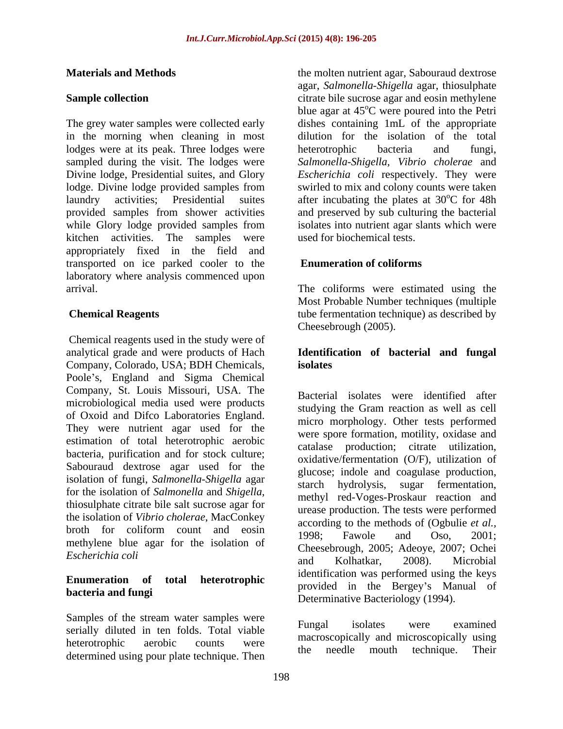The grey water samples were collected early dishes containing 1mL of the appropriate in the morning when cleaning in most lodges were at its peak. Three lodges were heterotrophic bacteria and fungi, sampled during the visit. The lodges were *Salmonella*-*Shigella, Vibrio cholerae* and Divine lodge, Presidential suites, and Glory *Escherichia coli* respectively. They were lodge. Divine lodge provided samples from swirled to mix and colony counts were taken laundry activities; Presidential suites after incubating the plates at 30<sup>o</sup>C for 48h provided samples from shower activities and preserved by sub culturing the bacterial while Glory lodge provided samples from isolates into nutrient agar slants which were kitchen activities. The samples were used for biochemical tests. appropriately fixed in the field and transported on ice parked cooler to the laboratory where analysis commenced upon arrival. The coliforms were estimated using the

 Chemical reagents used in the study were of analytical grade and were products of Hach **Identification of bacterial and fungal** Company, Colorado, USA; BDH Chemicals, Poole's, England and Sigma Chemical Company, St. Louis Missouri, USA. The microbiological media used were products of Oxoid and Difco Laboratories England. They were nutrient agar used for the estimation of total heterotrophic aerobic bacteria, purification and for stock culture; Sabouraud dextrose agar used for the isolation of fungi, *Salmonella-Shigella* agar the isolation of *Vibrio cholerae*, MacConkey broth for coliform count and eosin 1998: Fawole and Oso, 2001: methylene blue agar for the isolation of

Samples of the stream water samples were<br>Fungal isolates were examined serially diluted in ten folds. Total viable heterotrophic aerobic counts were the needle month technique Their determined using pour plate technique. Then the needle mouth technique. Their

**Materials and Methods Exercise 1.1 September 1.1 and Methods** *the molten nutrient agar, Sabouraud dextrose* **Sample collection** agar, *Salmonella*-*Shigella* agar, thiosulphate blue agar at  $45^{\circ}$ C were poured into the Petri <sup>o</sup>C were poured into the Petri dilution for the isolation of the total heterotrophic bacteria and fungi, oC for 48h isolates into nutrient agar slants which were used for biochemical tests.

## **Enumeration of coliforms**

**Chemical Reagents** tube fermentation technique) as described by Most Probable Number techniques (multiple Cheesebrough (2005).

# **isolates**

for the isolation of *Salmonella* and *Shigella*,<br>thiosulphate citrate bile salt sucrose agar for the rease production. The tests were performed *Escherichia coli*<br>and Kolbatkar 2008) Microbial **Enumeration of total heterotrophic bacteria and fungi**<br>
Determinative Bacteriology (1994). Bacterial isolates were identified after studying the Gram reaction as well as cell micro morphology. Other tests performed were spore formation, motility, oxidase and catalase production; citrate utilization, oxidative/fermentation (O/F), utilization of glucose; indole and coagulase production, hydrolysis, sugar fermentation, methyl red-Voges-Proskaur reaction and urease production. The tests were performed according to the methods of (Ogbulie *et al.,* 1998; Fawole and Oso, 2001; Cheesebrough, 2005; Adeoye, 2007; Ochei and Kolhatkar, 2008). Microbial identification was performed using the keys provided in the Bergey's Manual of

> Fungal isolates were examined macroscopically and microscopically using the needle mouth technique. Their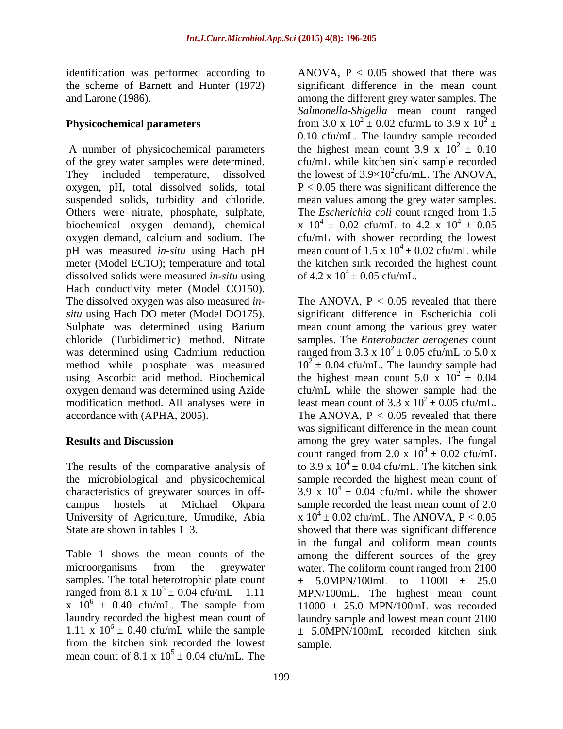identification was performed according to

of the grey water samples were determined. oxygen, pH, total dissolved solids, total  $P < 0.05$  there was significant difference the biochemical oxygen demand), chemical pH was measured *in-situ* using Hach pH dissolved solids were measured *in-situ* using Hach conductivity meter (Model CO150). modification method. All analyses were in accordance with (APHA, 2005). The ANOVA,  $P < 0.05$  revealed that there

the microbiological and physicochemical University of Agriculture, Umudike, Abia

microorganisms from the greywater water. The coliform count ranged from 2100 samples. The total heterotrophic plate count  $+$ laundry recorded the highest mean count of 1.11 x  $10^6 \pm 0.40$  cfu/mL while the sample from the kitchen sink recorded the lowest mean count of 8.1 x  $10^5 \pm 0.04$  cfu/mL. The  $5 \pm 0.04$  cfu/mL. The

the scheme of Barnett and Hunter (1972) significant difference in the mean count and Larone (1986). among the different grey water samples. The **Physicochemical parameters** from  $3.0 \times 10^2 \pm 0.02$  cfu/mL to  $3.9 \times 10^2 \pm 0.02$ A number of physicochemical parameters the highest mean count 3.9 x  $10^2 \pm 0.10$ They included temperature, dissolved the lowest of  $3.9 \times 10^2$ cfu/mL. The ANOVA, suspended solids, turbidity and chloride. mean values among the grey water samples. Others were nitrate, phosphate, sulphate, The *Escherichia coli* count ranged from 1.5 oxygen demand, calcium and sodium. The cfu/mL with shower recording the lowest meter (Model EC1O); temperature and total the kitchen sink recorded the highest count ANOVA,  $P < 0.05$  showed that there was *Salmonella-Shigella* mean count ranged  $2 \pm$ 0.10 cfu/mL. The laundry sample recorded  $^{2} \pm 0.10$ cfu/mL while kitchen sink sample recorded the lowest of  $3.9 \times 10^2$ cfu/mL. The ANOVA,<br>P < 0.05 there was significant difference the x  $10^4 \pm 0.02$  cfu/mL to  $4.2 \times 10^4 \pm 0.05$  $4 \pm 0.05$ mean count of  $1.5 \times 10^4 \pm 0.02$  cfu/mL while of  $4.2 \times 10^4 \pm 0.05$  cfu/mL.

The dissolved oxygen was also measured *in*-<br>The ANOVA,  $P < 0.05$  revealed that there *situ* using Hach DO meter (Model DO175). significant difference in Escherichia coli Sulphate was determined using Barium mean count among the various grey water chloride (Turbidimetric) method. Nitrate samples. The *Enterobacter aerogenes* count was determined using Cadmium reduction ranged from 3.3 x  $10^2 \pm 0.05$  cfu/mL to 5.0 x method while phosphate was measured  $10^{2} \pm 0.04$  cfu/mL. The laundry sample had using Ascorbic acid method. Biochemical the highest mean count  $5.0 \times 10^2 \pm 0.04$ oxygen demand was determined using Azide cfu/mL while the shower sample had the **Results and Discussion** among the grey water samples. The fungal The results of the comparative analysis of to 3.9 x  $10^4 \pm 0.04$  cfu/mL. The kitchen sink characteristics of greywater sources in off-  $3.9 \times 10^4 \pm 0.04$  cfu/mL while the shower campus hostels at Michael Okpara sample recorded the least mean count of 2.0 State are shown in tables 1–3. Showed that there was significant difference Table 1 shows the mean counts of the among the different sources of the grey ranged from 8.1 x  $10^5 \pm 0.04$  cfu/mL - 1.11 MPN/100mL. The highest mean count x  $10^6 \pm 0.40$  cfu/mL. The sample from  $11000 \pm 25.0$  MPN/100mL was recorded  $6 \pm 0.40$  cfu/mL. The sample from  $11000 \pm 25.0$  MPN/100mL was recorded 1.11 x  $10^6 \pm 0.40$  cfu/mL while the sample  $\pm 5.0$ MPN/100mL recorded kitchen sink  $2^2 \pm 0.04$ least mean count of 3.3 x  $10^2 \pm 0.05$  cfu/mL. least mean count of  $3.3 \times 10^2 \pm 0.05$  cfu/mL.<br>The ANOVA, P < 0.05 revealed that there was significant difference in the mean count count ranged from 2.0 x  $10^4 \pm 0.02$  cfu/mL sample recorded the highest mean count of x  $10^4 \pm 0.02$  cfu/mL. The ANOVA, P < 0.05 in the fungal and coliform mean counts water. The coliform count ranged from 2100 ± 5.0MPN/100mL to 11000 ± 25.0 laundry sample and lowest mean count 2100 sample.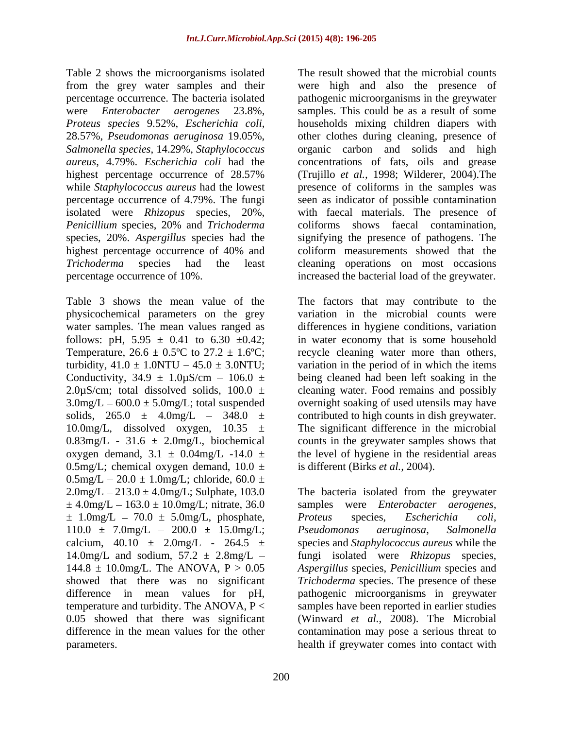Table 2 shows the microorganisms isolated from the grey water samples and their percentage occurrence. The bacteria isolated pathogenic microorganisms in the greywater were *Enterobacter aerogenes* 23.8%, samples. This could be as a result of some *Proteus species* 9.52%, *Escherichia coli*, 28.57%, *Pseudomonas aeruginosa* 19.05%, *Salmonella species*, 14.29%, *Staphylococcus*  organic carbon and solids and high *aureus*, 4.79%. *Escherichia coli* had the concentrations of fats, oils and grease highest percentage occurrence of 28.57% (Trujillo *et al.,* 1998; Wilderer, 2004).The while *Staphylococcus aureus* had the lowest presence of coliforms in the samples was percentage occurrence of 4.79%. The fungi seen as indicator of possible contamination isolated were *Rhizopus* species, 20%, with faecal materials. The presence of *Penicillium* species, 20% and *Trichoderma* species, 20%. *Aspergillus* species had the signifying the presence of pathogens. The highest percentage occurrence of 40% and coliform measurements showed that the *Trichoderma* species had the least cleaning operations on most occasions

physicochemical parameters on the grey Temperature,  $26.6 \pm 0.5^{\circ}$ C to  $27.2 \pm 1.6^{\circ}$ C; Conductivity,  $34.9 \pm 1.0 \mu$ S/cm -  $106.0 \pm 1.0 \mu$ 2.0 $\mu$ S/cm; total dissolved solids, 100.0  $\pm$  $0.83$ mg/L - 31.6  $\pm$  2.0mg/L, biochemical 0.5mg/L; chemical oxygen demand,  $10.0 \pm$  $0.5$ mg/L  $- 20.0 \pm 1.0$ mg/L; chloride, 60.0  $\pm$  $\pm 4.0$ mg/L – 163.0  $\pm 10.0$ mg/L; nitrate, 36.0 samples  $\pm$  1.0mg/L – 70.0  $\pm$  5.0mg/L, phosphate, Proteus species, Escherichia coli,  $110.0 \pm 7.0$ mg/L -  $200.0 \pm 15.0$ mg/L; Pseudomonas aeruginosa, Salmonella

percentage occurrence of 10%. increased the bacterial load of the greywater. The result showed that the microbial counts were high and also the presence of households mixing children diapers with other clothes during cleaning, presence of coliforms shows faecal contamination, coliform measurements showed that the

Table 3 shows the mean value of the The factors that may contribute to the water samples. The mean values ranged as differences in hygiene conditions, variation follows: pH,  $5.95 \pm 0.41$  to  $6.30 \pm 0.42$ ; in water economy that is some household turbidity,  $41.0 \pm 1.0$ NTU  $- 45.0 \pm 3.0$ NTU; variation in the period of in which the items  $3.0$ mg/L  $-600.0 \pm 5.0$ mg/L; total suspended overnight soaking of used utensils may have solids,  $265.0 \pm 4.0$  mg/L  $-348.0 \pm$  contributed to high counts in dish greywater. 10.0mg/L, dissolved oxygen,  $10.35 \pm$  The significant difference in the microbial oxygen demand,  $3.1 \pm 0.04$ mg/L  $-14.0 \pm$  the level of hygiene in the residential areas variation in the microbial counts were recycle cleaning water more than others, being cleaned had been left soaking in the cleaning water. Food remains and possibly counts in the greywater samples shows that is different (Birks *et al.,* 2004).

 $2.0$ mg/L  $- 213.0 \pm 4.0$ mg/L; Sulphate, 103.0 The bacteria isolated from the greywater calcium,  $40.10 \pm 2.0$  mg/L -  $264.5 \pm$  species and *Staphylococcus aureus* while the 14.0mg/L and sodium, 57.2 ± 2.8mg/L fungi isolated were *Rhizopus* species, 144.8 ± 10.0mg/L. The ANOVA, P > 0.05 *Aspergillus* species, *Penicillium* species and showed that there was no significant *Trichoderma* species. The presence of these difference in mean values for pH, pathogenic microorganisms in greywater temperature and turbidity. The ANOVA, P < samples have been reported in earlier studies 0.05 showed that there was significant (Winward *et al.,* 2008). The Microbial difference in the mean values for the other contamination may pose a serious threat to parameters. health if greywater comes into contact withsamples were *Enterobacter aerogenes*, *Proteus* species, *Escherichia coli*, *Pseudomonas aeruginosa*, *Salmonella*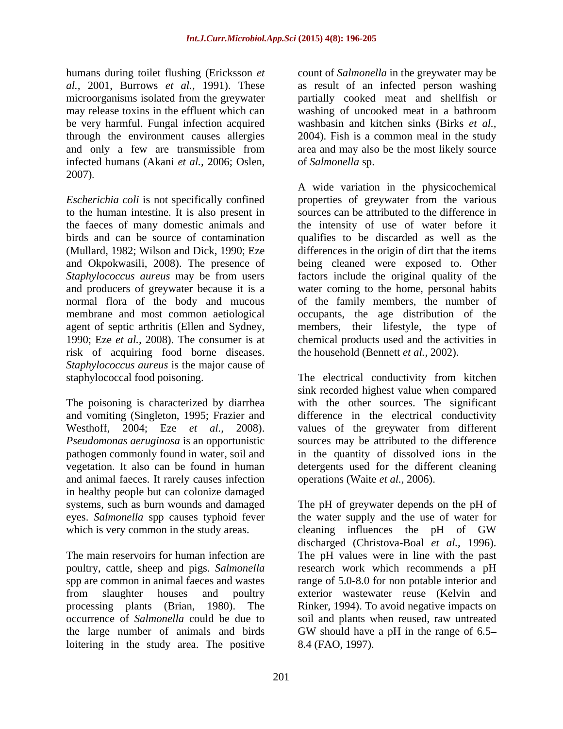humans during toilet flushing (Ericksson *et*  microorganisms isolated from the greywater be very harmful. Fungal infection acquired and only a few are transmissible from infected humans (Akani *et al.,* 2006; Oslen, 2007).

to the human intestine. It is also present in risk of acquiring food borne diseases. *Staphylococcus aureus* is the major cause of

The poisoning is characterized by diarrhea and animal faeces. It rarely causes infection in healthy people but can colonize damaged eyes. *Salmonella* spp causes typhoid fever which is very common in the study areas. cleaning influences the pH of GW

the large number of animals and birds GW should have a pH in the range of 6.5– loitering in the study area. The positive

*al.,* 2001, Burrows *et al.,* 1991). These as result of an infected person washing may release toxins in the effluent which can washing of uncooked meat in a bathroom through the environment causes allergies 2004). Fish is a common meal in the study count of *Salmonella* in the greywater may be partially cooked meat and shellfish or washbasin and kitchen sinks (Birks *et al.,* area and may also be the most likely source of *Salmonella* sp.

*Escherichia coli* is not specifically confined properties of greywater from the various the faeces of many domestic animals and the intensity of use of water before it birds and can be source of contamination qualifies to be discarded as well as the (Mullard, 1982; Wilson and Dick, 1990; Eze differences in the origin of dirt that the items and Okpokwasili, 2008). The presence of being cleaned were exposed to. Other *Staphylococcus aureus* may be from users factors include the original quality of the and producers of greywater because it is a water coming to the home, personal habits normal flora of the body and mucous of the family members, the number of membrane and most common aetiological occupants, the age distribution of the agent of septic arthritis (Ellen and Sydney, members, their lifestyle, the type of 1990; Eze *et al.,* 2008). The consumer is at chemical products used and the activities in A wide variation in the physicochemical sources can be attributed to the difference in the household (Bennett *et al.,* 2002).

staphylococcal food poisoning. The electrical conductivity from kitchen and vomiting (Singleton, 1995; Frazier and difference in the electrical conductivity Westhoff, 2004; Eze *et al.,* 2008). values of the greywater from different *Pseudomonas aeruginosa* is an opportunistic sources may be attributed to the difference pathogen commonly found in water, soil and in the quantity of dissolved ions in the vegetation. It also can be found in human detergents used for the different cleaning sink recorded highest value when compared with the other sources. The significant operations (Waite *et al.,* 2006).

systems, such as burn wounds and damaged The pH of greywater depends on the pH of The main reservoirs for human infection are The pH values were in line with the past poultry, cattle, sheep and pigs. *Salmonella*  research work which recommends a pH spp are common in animal faeces and wastes range of 5.0-8.0 for non potable interior and from slaughter houses and poultry exterior wastewater reuse (Kelvin and processing plants (Brian, 1980). The Rinker, 1994). To avoid negative impacts on occurrence of *Salmonella* could be due to soil and plants when reused, raw untreated the water supply and the use of water for cleaning influences the pH of GW discharged (Christova-Boal *et al.,* 1996). GW should have a pH in the range of 6.5 8.4 (FAO, 1997).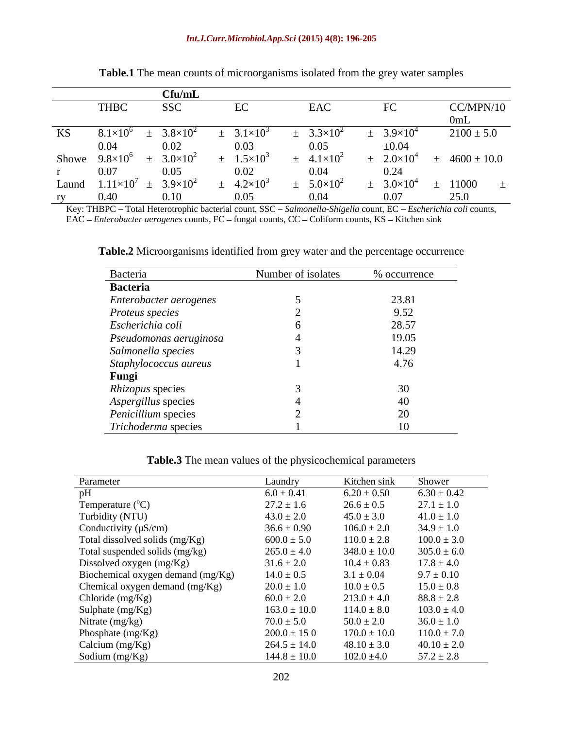|       |                                   | $C$ fu/mL                    |                      |                               |                              |                 |
|-------|-----------------------------------|------------------------------|----------------------|-------------------------------|------------------------------|-----------------|
|       | <b>THBC</b>                       | <b>SSC</b>                   | EC                   | EAC                           |                              | CC/MPN/10       |
|       |                                   |                              |                      |                               |                              |                 |
| KS    | $\sqrt{8}$ 1 $\times$             | $3.8\times10$                |                      | 3 3 $\times$ 10 <sup>2</sup>  | $3.9\times10^{4}$            | $2100 \pm 5.0$  |
|       | $0.04$<br>Showe $9.8 \times 10^6$ | 0.02                         | 0.03                 | $0.05$<br>4.1×10 <sup>2</sup> | $\pm 0.04$                   |                 |
|       |                                   | $3.0 \times 10^{2}$          | $1.5 \times 10^{-7}$ |                               | $2.0\times10^{4}$            | $4600 \pm 10.0$ |
|       | $0.07$<br>und $1.11 \times 1$     | 0.05                         | 0.02                 | $0.04$<br>5.0×10 <sup>2</sup> | 0.24                         |                 |
| Laund |                                   | 3.9 $\times$ 10 <sup>2</sup> |                      |                               | 3.0 $\times$ 10 <sup>4</sup> | 11000           |
| ry    | 0.40                              | ) 10                         |                      | 0.04                          | 0.07                         | 25 O            |

**Table.1** The mean counts of microorganisms isolated from the grey water samples

Key: THBPC - Total Heterotrophic bacterial count, SSC - Salmonella-Shigella count, EC - Escherichia coli counts, EAC – *Enterobacter aerogenes* counts, FC – fungal counts, CC – Coliform counts, KS – Kitchen sink

**Table.2** Microorganisms identified from grey water and the percentage occurrence

| Bacteria               | Number of isolates | % occurrence |
|------------------------|--------------------|--------------|
| <b>Bacteria</b>        |                    |              |
| Enterobacter aerogenes |                    | 23.81        |
| Proteus species        |                    | 9.52         |
| Escherichia coli       |                    | 28.57        |
| Pseudomonas aeruginosa |                    | 19.05        |
| Salmonella species     |                    | 14.29        |
| Staphylococcus aureus  |                    | 4.76         |
| Fungi                  |                    |              |
| Rhizopus species       |                    | 30           |
| Aspergillus species    |                    | 40           |
| Penicillium species    |                    | 20           |
| Trichoderma species    |                    | 10           |

**Table.3** The mean values of the physicochemical parameters

| Parameter                         | Laundry          | Kitchen sink     | Shower          |
|-----------------------------------|------------------|------------------|-----------------|
| pH                                | $6.0 \pm 0.41$   | $6.20 \pm 0.50$  | $6.30 \pm 0.42$ |
| Temperature $(^{\circ}C)$         | $27.2 \pm 1.6$   | $26.6 \pm 0.5$   | $27.1 \pm 1.0$  |
| Turbidity (NTU)                   | $43.0 \pm 2.0$   | $45.0 \pm 3.0$   | $41.0 \pm 1.0$  |
| Conductivity $(\mu S/cm)$         | $36.6 \pm 0.90$  | $106.0 \pm 2.0$  | $34.9 \pm 1.0$  |
| Total dissolved solids (mg/Kg)    | $600.0 \pm 5.0$  | $110.0 \pm 2.8$  | $100.0 \pm 3.0$ |
| Total suspended solids (mg/kg)    | $265.0 \pm 4.0$  | $348.0 \pm 10.0$ | $305.0 \pm 6.0$ |
| Dissolved oxygen (mg/Kg)          | $31.6 \pm 2.0$   | $10.4 \pm 0.83$  | $17.8 \pm 4.0$  |
| Biochemical oxygen demand (mg/Kg) | $14.0 \pm 0.5$   | $3.1 \pm 0.04$   | $9.7 \pm 0.10$  |
| Chemical oxygen demand (mg/Kg)    | $20.0 \pm 1.0$   | $10.0 \pm 0.5$   | $15.0 \pm 0.8$  |
| Chloride (mg/Kg)                  | $60.0 \pm 2.0$   | $213.0 \pm 4.0$  | $88.8 \pm 2.8$  |
| Sulphate (mg/Kg)                  | $163.0 \pm 10.0$ | $114.0 \pm 8.0$  | $103.0 \pm 4.0$ |
| Nitrate (mg/kg)                   | $70.0 \pm 5.0$   | $50.0 \pm 2.0$   | $36.0 \pm 1.0$  |
| Phosphate (mg/Kg)                 | $200.0 \pm 15.0$ | $170.0 \pm 10.0$ | $110.0 \pm 7.0$ |
| Calcium (mg/Kg)                   | $264.5 \pm 14.0$ | $48.10 \pm 3.0$  | $40.10 \pm 2.0$ |
| Sodium $(mg/Kg)$                  | $144.8 \pm 10.0$ | $102.0 \pm 4.0$  | $57.2 \pm 2.8$  |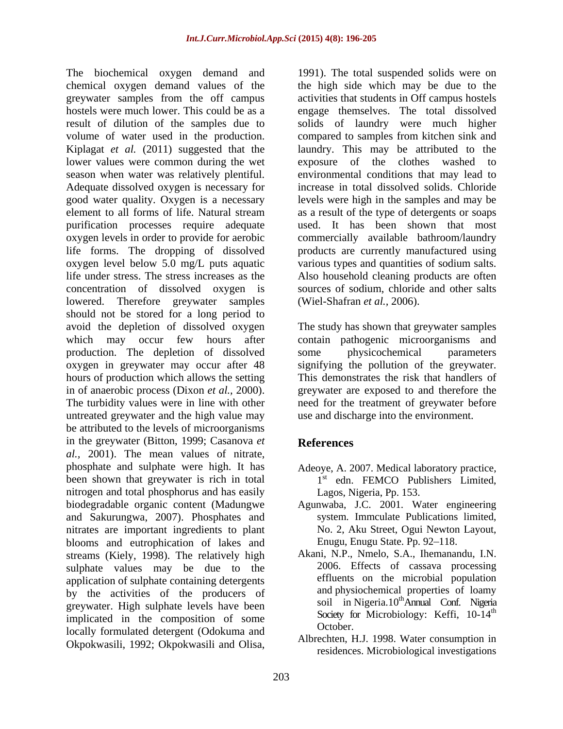The biochemical oxygen demand and chemical oxygen demand values of the greywater samples from the off campus activities that students in Off campus hostels hostels were much lower. This could be as a engage themselves. The total dissolved result of dilution of the samples due to solids of laundry were much higher volume of water used in the production. Kiplagat *et al.* (2011) suggested that the laundry. This may be attributed to the lower values were common during the wet exposure of the clothes washed to season when water was relatively plentiful. environmental conditions that may lead to Adequate dissolved oxygen is necessary for good water quality. Oxygen is a necessary levels were high in the samples and may be element to all forms of life. Natural stream as a result of the type of detergents or soaps purification processes require adequate used. It has been shown that most oxygen levels in order to provide for aerobic life forms. The dropping of dissolved oxygen level below 5.0 mg/L puts aquatic various types and quantities of sodium salts. life under stress. The stress increases as the concentration of dissolved oxygen is sources of sodium, chloride and other salts lowered. Therefore greywater samples should not be stored for a long period to avoid the depletion of dissolved oxygen The study has shown that greywater samples which may occur few hours after contain pathogenic microorganisms and production. The depletion of dissolved some physicochemical parameters oxygen in greywater may occur after 48 signifying the pollution of the greywater. hours of production which allows the setting in of anaerobic process (Dixon *et al.,* 2000). greywater are exposed to and therefore the The turbidity values were in line with other need for the treatment of greywater before untreated greywater and the high value may be attributed to the levels of microorganisms in the greywater (Bitton, 1999; Casanova *et al.*, 2001). The mean values of nitrate,<br>phosphate and sulphate were high. It has Adeove, A. 2007. Medical laboratory practice, been shown that greywater is rich in total nitrogen and total phosphorus and has easily biodegradable organic content (Madungwe and Sakurungwa, 2007). Phosphates and nitrates are important ingredients to plant blooms and eutrophication of lakes and streams (Kiely, 1998). The relatively high sulphate values may be due to the application of sulphate containing detergents by the activities of the producers of greywater. High sulphate levels have been implicated in the composition of some society to<br>hardly familiated determine Colabours and October. locally formulated detergent (Odokuma and Okpokwasili, 1992; Okpokwasili and Olisa,

1991). The total suspended solids were on the high side which may be due to the compared to samples from kitchen sink and exposure of the clothes washed to increase in total dissolved solids. Chloride commercially available bathroom/laundry products are currently manufactured using Also household cleaning products are often (Wiel-Shafran *et al.,* 2006).

some physicochemical parameters This demonstrates the risk that handlers of use and discharge into the environment.

# **References**

- Adeoye, A. 2007. Medical laboratory practice, 1<sup>st</sup> edn. FEMCO Publishers Limited, Lagos, Nigeria, Pp. 153.
- Agunwaba, J.C. 2001. Water engineering system*.* Immculate Publications limited, No. 2, Aku Street, Ogui Newton Layout, Enugu, Enugu State. Pp. 92-118.
- Akani, N.P., Nmelo, S.A., Ihemanandu, I.N. 2006. Effects of cassava processing effluents on the microbial population and physiochemical properties of loamy soil in Nigeria.10<sup>th</sup>Annual Conf. Nigeria Society for Microbiology: Keffi, 10-14<sup>th</sup> October.
- Albrechten, H.J. 1998. Water consumption in residences. Microbiological investigations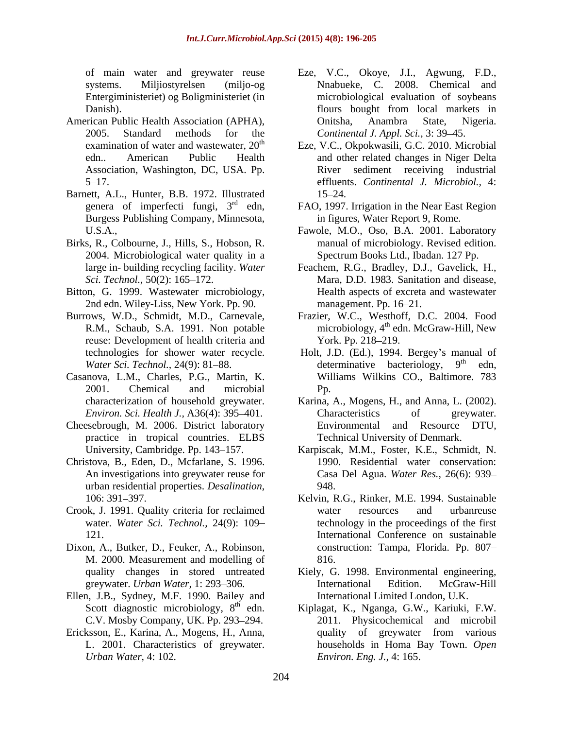- American Public Health Association (APHA), Association, Washington, DC, USA. Pp.
- Barnett, A.L., Hunter, B.B. 1972. Illustrated Burgess Publishing Company, Minnesota,
- Birks, R., Colbourne, J., Hills, S., Hobson, R. 2004. Microbiological water quality in a
- Bitton, G. 1999. Wastewater microbiology, 2nd edn. Wiley-Liss, New York. Pp. 90. management. Pp. 16–21.
- reuse: Development of health criteria and York. Pp. 218–219.
- Casanova, L.M., Charles, P.G., Martin, K.
- practice in tropical countries. ELBS
- Christova, B., Eden, D., Mcfarlane, S. 1996. urban residential properties. *Desalination*, 948.<br>106: 391–397. **106: 1994.** Sustainable
- Crook, J. 1991. Quality criteria for reclaimed
- Dixon, A., Butker, D., Feuker, A., Robinson, M. 2000. Measurement and modelling of
- Ellen, J.B., Sydney, M.F. 1990. Bailey and Scott diagnostic microbiology,  $8<sup>th</sup>$  edn.
- Ericksson, E., Karina, A., Mogens, H., Anna,
- of main water and greywater reuse Eze, V.C., Okoye, J.I., Agwung, F.D., systems. Miljiostyrelsen (miljo-og Nnabueke, C. 2008. Chemical and Entergiministeriet) og Boligministeriet (in microbiological evaluation of soybeans Danish). Danish). Communication of the bought from local markets in 2005. Standard methods for the *Continental J. Appl. Sci.,* 3: 39 45. flours bought from local markets in Onitsha, Anambra State, Nigeria.
- examination of water and wastewater,  $20<sup>th</sup>$  Eze, V.C., Okpokwasili, G.C. 2010. Microbial edn.. American Public Health and other related changes in Niger Delta 5 17. effluents. *Continental J. Microbiol.,* 4: River sediment receiving industrial 15 24.
- genera of imperfecti fungi, 3<sup>rd</sup> edn, FAO, 1997. Irrigation in the Near East Region in figures, Water Report 9, Rome.
- U.S.A., Fawole, M.O., Oso, B.A. 2001. Laboratory manual of microbiology. Revised edition. Spectrum Books Ltd., Ibadan. 127 Pp.
- large in- building recycling facility. Water Feachem, R.G., Bradley, D.J., Gavelick, H., *Sci. Technol.,* 50(2): 165–172. **Mars Mars Mars D.D.** 1983. Sanitation and disease. Feachem, R.G., Bradley, D.J., Gavelick, H., Mara, D.D. 1983. Sanitation and disease, Health aspects of excreta and wastewater management. Pp. 16–21.
- Burrows, W.D., Schmidt, M.D., Carnevale, Frazier, W.C., Westhoff, D.C. 2004. Food R.M., Schaub, S.A. 1991. Non potable microbiology, 4<sup>th</sup> edn. McGraw-Hill, New York. Pp. 218–219.
	- technologies for shower water recycle. Holt, J.D. (Ed.), 1994. Bergey's manual of *Water Sci. Technol.,* 24(9): 81–88. determinative bacteriology, 9<sup>th</sup> edn, 2001. Chemical and microbial determinative bacteriology, th edn, Williams Wilkins CO., Baltimore. 783 Pp.
- characterization of household greywater. Karina, A., Mogens, H., and Anna, L. (2002). *Environ. Sci. Health J.,* A36(4): 395–401. Characteristics of greywater. Cheesebrough, M. 2006. District laboratory **Environmental** and Resource DTU, Characteristics of greywater. Environmental and Resource DTU, Technical University of Denmark.
	- University, Cambridge. Pp. 143 157. Karpiscak, M.M., Foster, K.E., Schmidt, N. An investigations into greywater reuse for Casa Del Agua. *Water Res.,* 26(6): 939 1990. Residential water conservation: 948.
	- water. *Water Sci. Technol.*, 24(9): 109– technology in the proceedings of the first 121. International Conference on sustainable Kelvin, R.G., Rinker, M.E. 1994. Sustainable water resources and urbanreuse construction: Tampa, Florida. Pp. 807 816.
	- quality changes in stored untreated Kiely, G. 1998. Environmental engineering, greywater. *Urban Water*, 1: 293–306. The International Edition. McGraw-Hill International Edition. McGraw-Hill International Limited London, U.K.
	- Scott diagnostic microbiology, 8<sup>th</sup> edn. Kiplagat, K., Nganga, G.W., Kariuki, F.W. C.V. Mosby Company, UK. Pp. 293–294. 2011. Physicochemical and microbil L. 2001. Characteristics of greywater. households in Homa Bay Town. *Open Urban Water,* 4: 102. *Environ. Eng. J.,* 4: 165.quality of greywater from various